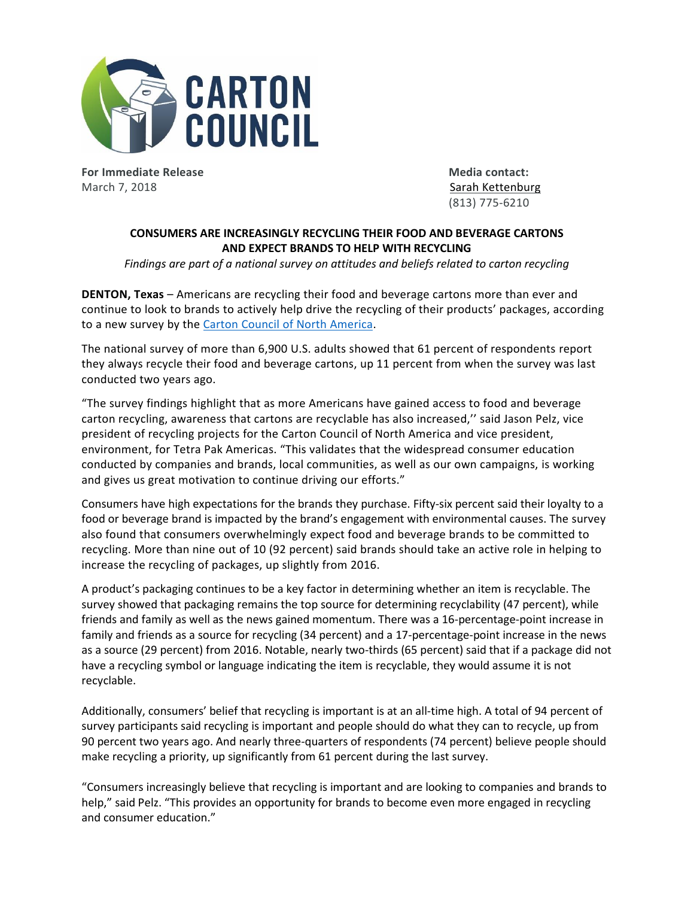

**For Immediate Release Media contact:** March 7, 2018 Sarah [Kettenburg](mailto:sarah.kettenburg@hkstrategies.com) (Sarah Kettenburg Sarah Kettenburg Sarah Kettenburg Sarah Kettenburg Sarah Kettenburg (Sarah Kettenburg Sarah Kettenburg Sarah Kettenburg Sarah Kettenburg Sarah Kettenburg (Sarah Sarah Sarah

(813) 775-6210

## **CONSUMERS ARE INCREASINGLY RECYCLING THEIR FOOD AND BEVERAGE CARTONS AND EXPECT BRANDS TO HELP WITH RECYCLING**

*Findings are part of a national survey on attitudes and beliefs related to carton recycling*

**DENTON, Texas** – Americans are recycling their food and beverage cartons more than ever and continue to look to brands to actively help drive the recycling of their products' packages, according to a new survey by the Carton Council of North [America.](http://www.cartonopportunities.org/)

The national survey of more than 6,900 U.S. adults showed that 61 percent of respondents report they always recycle their food and beverage cartons, up 11 percent from when the survey was last conducted two years ago.

"The survey findings highlight that as more Americans have gained access to food and beverage carton recycling, awareness that cartons are recyclable has also increased,'' said Jason Pelz, vice president of recycling projects for the Carton Council of North America and vice president, environment, for Tetra Pak Americas. "This validates that the widespread consumer education conducted by companies and brands, local communities, as well as our own campaigns, is working and gives us great motivation to continue driving our efforts."

Consumers have high expectations for the brands they purchase. Fifty-six percent said their loyalty to a food or beverage brand is impacted by the brand's engagement with environmental causes. The survey also found that consumers overwhelmingly expect food and beverage brands to be committed to recycling. More than nine out of 10 (92 percent) said brands should take an active role in helping to increase the recycling of packages, up slightly from 2016.

A product's packaging continues to be a key factor in determining whether an item is recyclable. The survey showed that packaging remains the top source for determining recyclability (47 percent), while friends and family as well as the news gained momentum. There was a 16-percentage-point increase in family and friends as a source for recycling (34 percent) and a 17-percentage-point increase in the news as a source (29 percent) from 2016. Notable, nearly two-thirds (65 percent) said that if a package did not have a recycling symbol or language indicating the item is recyclable, they would assume it is not recyclable.

Additionally, consumers' belief that recycling is important is at an all-time high. A total of 94 percent of survey participants said recycling is important and people should do what they can to recycle, up from 90 percent two years ago. And nearly three-quarters of respondents (74 percent) believe people should make recycling a priority, up significantly from 61 percent during the last survey.

"Consumers increasingly believe that recycling is important and are looking to companies and brands to help," said Pelz. "This provides an opportunity for brands to become even more engaged in recycling and consumer education."